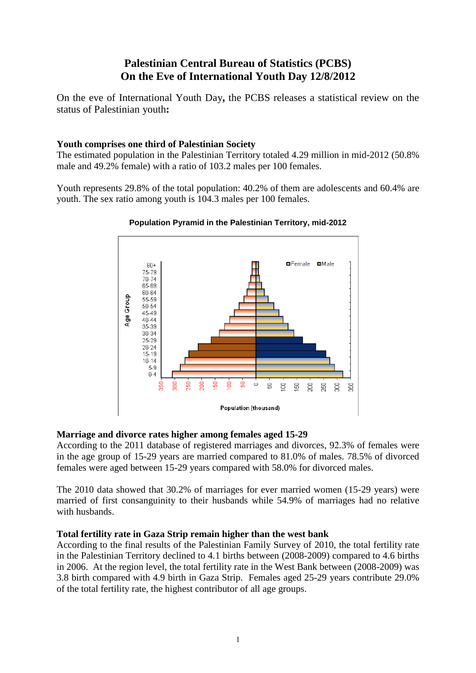# **Palestinian Central Bureau of Statistics (PCBS) On the Eve of International Youth Day 12/8/2012**

On the eve of International Youth Day**,** the PCBS releases a statistical review on the status of Palestinian youth**:** 

# **Youth comprises one third of Palestinian Society**

The estimated population in the Palestinian Territory totaled 4.29 million in mid-2012 (50.8% male and 49.2% female) with a ratio of 103.2 males per 100 females.

Youth represents 29.8% of the total population: 40.2% of them are adolescents and 60.4% are youth. The sex ratio among youth is 104.3 males per 100 females.



## **Population Pyramid in the Palestinian Territory, mid-2012**

## **Marriage and divorce rates higher among females aged 15-29**

According to the 2011 database of registered marriages and divorces, 92.3% of females were in the age group of 15-29 years are married compared to 81.0% of males. 78.5% of divorced females were aged between 15-29 years compared with 58.0% for divorced males.

The 2010 data showed that 30.2% of marriages for ever married women (15-29 years) were married of first consanguinity to their husbands while 54.9% of marriages had no relative with husbands.

## **Total fertility rate in Gaza Strip remain higher than the west bank**

According to the final results of the Palestinian Family Survey of 2010, the total fertility rate in the Palestinian Territory declined to 4.1 births between (2008-2009) compared to 4.6 births in 2006. At the region level, the total fertility rate in the West Bank between (2008-2009) was 3.8 birth compared with 4.9 birth in Gaza Strip. Females aged 25-29 years contribute 29.0% of the total fertility rate, the highest contributor of all age groups.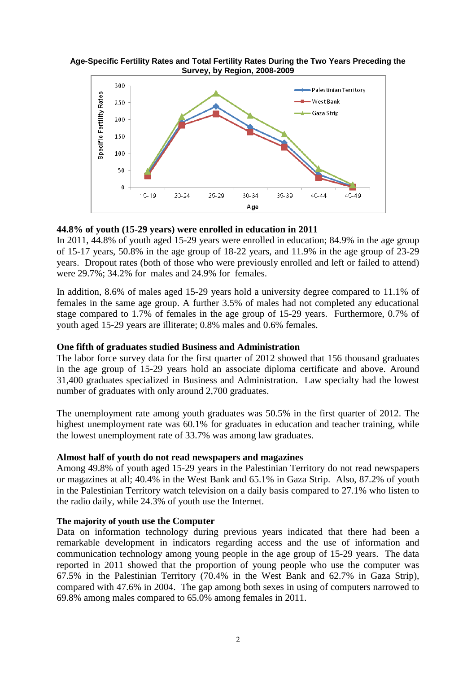



#### **44.8% of youth (15-29 years) were enrolled in education in 2011**

In 2011, 44.8% of youth aged 15-29 years were enrolled in education; 84.9% in the age group of 15-17 years, 50.8% in the age group of 18-22 years, and 11.9% in the age group of 23-29 years. Dropout rates (both of those who were previously enrolled and left or failed to attend) were 29.7%; 34.2% for males and 24.9% for females.

In addition, 8.6% of males aged 15-29 years hold a university degree compared to 11.1% of females in the same age group. A further 3.5% of males had not completed any educational stage compared to 1.7% of females in the age group of 15-29 years. Furthermore, 0.7% of youth aged 15-29 years are illiterate; 0.8% males and 0.6% females.

#### **One fifth of graduates studied Business and Administration**

The labor force survey data for the first quarter of 2012 showed that 156 thousand graduates in the age group of 15-29 years hold an associate diploma certificate and above. Around 31,400 graduates specialized in Business and Administration. Law specialty had the lowest number of graduates with only around 2,700 graduates.

The unemployment rate among youth graduates was 50.5% in the first quarter of 2012. The highest unemployment rate was 60.1% for graduates in education and teacher training, while the lowest unemployment rate of 33.7% was among law graduates.

#### **Almost half of youth do not read newspapers and magazines**

Among 49.8% of youth aged 15-29 years in the Palestinian Territory do not read newspapers or magazines at all; 40.4% in the West Bank and 65.1% in Gaza Strip. Also, 87.2% of youth in the Palestinian Territory watch television on a daily basis compared to 27.1% who listen to the radio daily, while 24.3% of youth use the Internet.

## **The majority of youth use the Computer**

Data on information technology during previous years indicated that there had been a remarkable development in indicators regarding access and the use of information and communication technology among young people in the age group of 15-29 years. The data reported in 2011 showed that the proportion of young people who use the computer was 67.5% in the Palestinian Territory (70.4% in the West Bank and 62.7% in Gaza Strip), compared with 47.6% in 2004. The gap among both sexes in using of computers narrowed to 69.8% among males compared to 65.0% among females in 2011.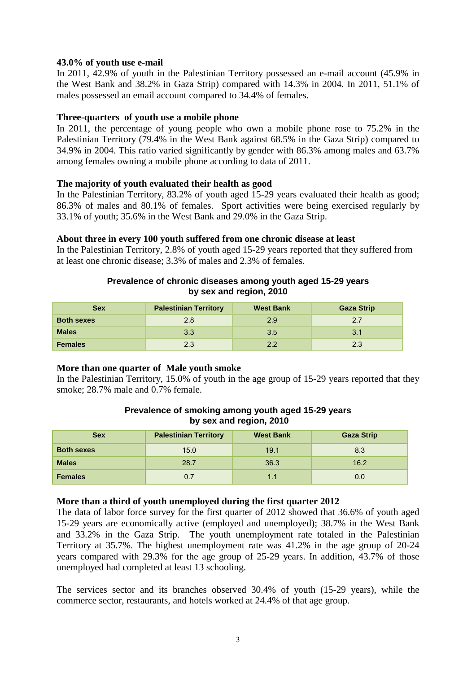## **43.0% of youth use e-mail**

In 2011, 42.9% of youth in the Palestinian Territory possessed an e-mail account (45.9% in the West Bank and 38.2% in Gaza Strip) compared with 14.3% in 2004. In 2011, 51.1% of males possessed an email account compared to 34.4% of females.

#### **Three-quarters of youth use a mobile phone**

In 2011, the percentage of young people who own a mobile phone rose to 75.2% in the Palestinian Territory (79.4% in the West Bank against 68.5% in the Gaza Strip) compared to 34.9% in 2004. This ratio varied significantly by gender with 86.3% among males and 63.7% among females owning a mobile phone according to data of 2011.

#### **The majority of youth evaluated their health as good**

In the Palestinian Territory, 83.2% of youth aged 15-29 years evaluated their health as good; 86.3% of males and 80.1% of females. Sport activities were being exercised regularly by  $33.1\%$  of youth;  $35.6\%$  in the West Bank and  $29.0\%$  in the Gaza Strip.

#### **About three in every 100 youth suffered from one chronic disease at least**

In the Palestinian Territory, 2.8% of youth aged 15-29 years reported that they suffered from at least one chronic disease; 3.3% of males and 2.3% of females.

#### **Prevalence of chronic diseases among youth aged 15-29 years by sex and region, 2010**

| <b>Sex</b>        | <b>Palestinian Territory</b> | <b>West Bank</b> | <b>Gaza Strip</b> |
|-------------------|------------------------------|------------------|-------------------|
| <b>Both sexes</b> | 2.8                          | 2.9              | 2.7               |
| <b>Males</b>      | 3.3                          | 3.5              | 3.1               |
| <b>Females</b>    | 2.3                          | っっ               | 2.3               |

## **More than one quarter of Male youth smoke**

In the Palestinian Territory, 15.0% of youth in the age group of 15-29 years reported that they smoke; 28.7% male and 0.7% female.

#### **Prevalence of smoking among youth aged 15-29 years by sex and region, 2010**

| <b>Sex</b>        | <b>Palestinian Territory</b> | <b>West Bank</b> | <b>Gaza Strip</b> |
|-------------------|------------------------------|------------------|-------------------|
| <b>Both sexes</b> | 15.0                         | 19.1             | 8.3               |
| <b>Males</b>      | 28.7                         | 36.3             | 16.2              |
| <b>Females</b>    | 0.7                          | 1.1              | 0.0               |

## **More than a third of youth unemployed during the first quarter 2012**

The data of labor force survey for the first quarter of 2012 showed that 36.6% of youth aged 15-29 years are economically active (employed and unemployed); 38.7% in the West Bank and 33.2% in the Gaza Strip. The youth unemployment rate totaled in the Palestinian Territory at 35.7%. The highest unemployment rate was 41.2% in the age group of 20-24 years compared with 29.3% for the age group of 25-29 years. In addition, 43.7% of those unemployed had completed at least 13 schooling.

The services sector and its branches observed 30.4% of youth (15-29 years), while the commerce sector, restaurants, and hotels worked at 24.4% of that age group.